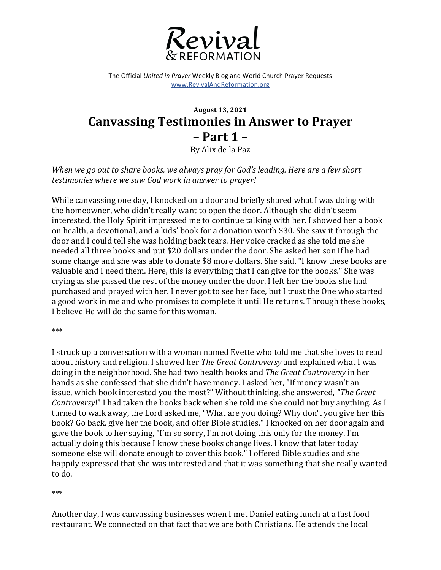

The Official *United in Prayer* Weekly Blog and World Church Prayer Requests www.RevivalAndReformation.org

## **August 13, 2021 Canvassing Testimonies in Answer to Prayer – Part 1 –**

By Alix de la Paz

*When* we go out to share books, we always pray for God's leading. Here are a few short testimonies where we saw God work in answer to prayer!

While canvassing one day, I knocked on a door and briefly shared what I was doing with the homeowner, who didn't really want to open the door. Although she didn't seem interested, the Holy Spirit impressed me to continue talking with her. I showed her a book on health, a devotional, and a kids' book for a donation worth \$30. She saw it through the door and I could tell she was holding back tears. Her voice cracked as she told me she needed all three books and put \$20 dollars under the door. She asked her son if he had some change and she was able to donate \$8 more dollars. She said, "I know these books are valuable and I need them. Here, this is everything that I can give for the books." She was crying as she passed the rest of the money under the door. I left her the books she had purchased and prayed with her. I never got to see her face, but I trust the One who started a good work in me and who promises to complete it until He returns. Through these books, I believe He will do the same for this woman.

\*\*\*

I struck up a conversation with a woman named Evette who told me that she loves to read about history and religion. I showed her *The Great Controversy* and explained what I was doing in the neighborhood. She had two health books and *The Great Controversy* in her hands as she confessed that she didn't have money. I asked her, "If money wasn't an issue, which book interested you the most?" Without thinking, she answered, "*The Great Controversy!"* I had taken the books back when she told me she could not buy anything. As I turned to walk away, the Lord asked me, "What are you doing? Why don't you give her this book? Go back, give her the book, and offer Bible studies." I knocked on her door again and gave the book to her saying, "I'm so sorry, I'm not doing this only for the money. I'm actually doing this because I know these books change lives. I know that later today someone else will donate enough to cover this book." I offered Bible studies and she happily expressed that she was interested and that it was something that she really wanted to do.

## \*\*\*

Another day, I was canvassing businesses when I met Daniel eating lunch at a fast food restaurant. We connected on that fact that we are both Christians. He attends the local